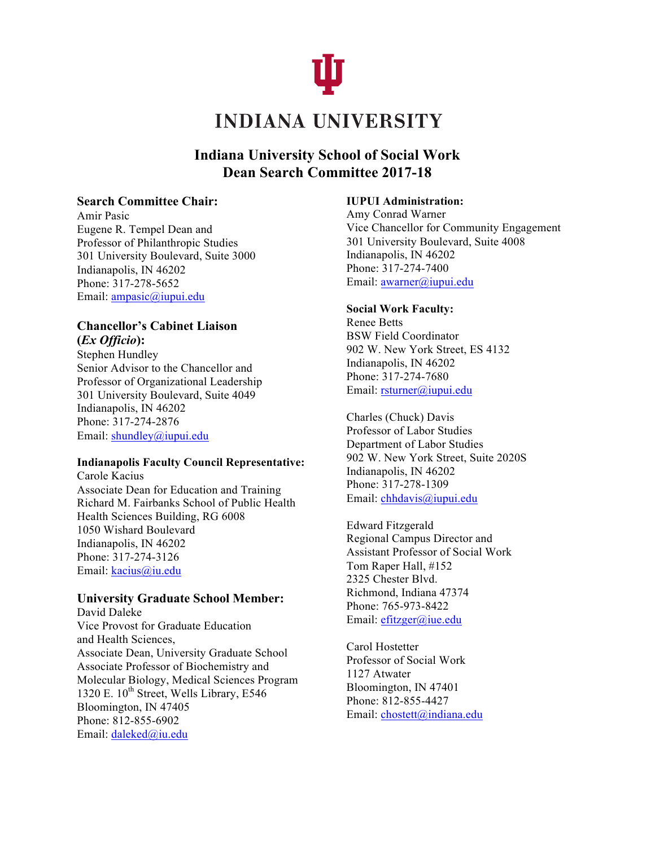

# **Indiana University School of Social Work Dean Search Committee 2017-18**

### **Search Committee Chair:**

Amir Pasic Eugene R. Tempel Dean and Professor of Philanthropic Studies 301 University Boulevard, Suite 3000 Indianapolis, IN 46202 Phone: 317-278-5652 Email: ampasic@iupui.edu

## **Chancellor's Cabinet Liaison (***Ex Officio***):**

Stephen Hundley Senior Advisor to the Chancellor and Professor of Organizational Leadership 301 University Boulevard, Suite 4049 Indianapolis, IN 46202 Phone: 317-274-2876 Email: shundley@iupui.edu

### **Indianapolis Faculty Council Representative:**

Carole Kacius Associate Dean for Education and Training Richard M. Fairbanks School of Public Health Health Sciences Building, RG 6008 1050 Wishard Boulevard Indianapolis, IN 46202 Phone: 317-274-3126 Email: kacius@iu.edu

### **University Graduate School Member:**

David Daleke Vice Provost for Graduate Education and Health Sciences, Associate Dean, University Graduate School Associate Professor of Biochemistry and Molecular Biology, Medical Sciences Program 1320 E.  $10^{th}$  Street, Wells Library, E546 Bloomington, IN 47405 Phone: 812-855-6902 Email: daleked@iu.edu

### **IUPUI Administration:**

Amy Conrad Warner Vice Chancellor for Community Engagement 301 University Boulevard, Suite 4008 Indianapolis, IN 46202 Phone: 317-274-7400 Email: awarner@iupui.edu

### **Social Work Faculty:**

Renee Betts BSW Field Coordinator 902 W. New York Street, ES 4132 Indianapolis, IN 46202 Phone: 317-274-7680 Email: rsturner@iupui.edu

Charles (Chuck) Davis Professor of Labor Studies Department of Labor Studies 902 W. New York Street, Suite 2020S Indianapolis, IN 46202 Phone: 317-278-1309 Email: chhdavis@iupui.edu

Edward Fitzgerald Regional Campus Director and Assistant Professor of Social Work Tom Raper Hall, #152 2325 Chester Blvd. Richmond, Indiana 47374 Phone: 765-973-8422 Email: efitzger@iue.edu

Carol Hostetter Professor of Social Work 1127 Atwater Bloomington, IN 47401 Phone: 812-855-4427 Email: chostett@indiana.edu